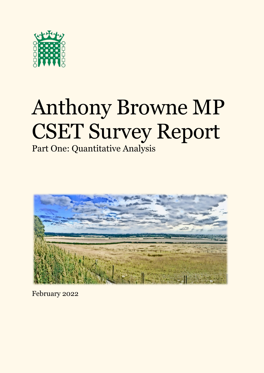

# Anthony Browne MP CSET Survey Report

## Part One: Quantitative Analysis



February 2022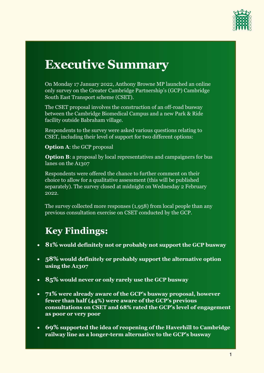

# **Executive Summary**

On Monday 17 January 2022, Anthony Browne MP launched an online only survey on the Greater Cambridge Partnership's (GCP) Cambridge South East Transport scheme (CSET).

The CSET proposal involves the construction of an off-road busway between the Cambridge Biomedical Campus and a new Park & Ride facility outside Babraham village.

Respondents to the survey were asked various questions relating to CSET, including their level of support for two different options:

**Option A**: the GCP proposal

**Option B:** a proposal by local representatives and campaigners for bus lanes on the A1307

Respondents were offered the chance to further comment on their choice to allow for a qualitative assessment (this will be published separately). The survey closed at midnight on Wednesday 2 February 2022.

The survey collected more responses (1,958) from local people than any previous consultation exercise on CSET conducted by the GCP.

# **Key Findings:**

- **81% would definitely not or probably not support the GCP busway**
- **58% would definitely or probably support the alternative option using the A1307**
- **85% would never or only rarely use the GCP busway**
- **71% were already aware of the GCP's busway proposal, however fewer than half (44%) were aware of the GCP's previous consultations on CSET and 68% rated the GCP's level of engagement as poor or very poor**
- **69% supported the idea of reopening of the Haverhill to Cambridge railway line as a longer-term alternative to the GCP's busway**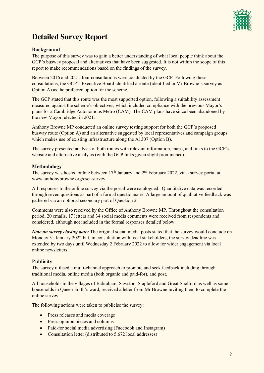

### **Detailed Survey Report**

#### **Background**

The purpose of this survey was to gain a better understanding of what local people think about the GCP's busway proposal and alternatives that have been suggested. It is not within the scope of this report to make recommendations based on the findings of the survey.

Between 2016 and 2021, four consultations were conducted by the GCP. Following these consultations, the GCP's Executive Board identified a route (identified in Mr Browne's survey as Option A) as the preferred option for the scheme.

The GCP stated that this route was the most supported option, following a suitability assessment measured against the scheme's objectives, which included compliance with the previous Mayor's plans for a Cambridge Autonomous Metro (CAM). The CAM plans have since been abandoned by the new Mayor, elected in 2021.

Anthony Browne MP conducted an online survey testing support for both the GCP's proposed busway route (Option A) and an alternative suggested by local representatives and campaign groups which makes use of existing infrastructure along the A1307 (Option B).

The survey presented analysis of both routes with relevant information, maps, and links to the GCP's website and alternative analysis (with the GCP links given slight prominence).

#### **Methodology**

The survey was hosted online between  $17<sup>th</sup>$  January and  $2<sup>nd</sup>$  February 2022, via a survey portal at [www.anthonybrowne.org/cset-survey.](http://www.anthonybrowne.org/cset-survey)

All responses to the online survey via the portal were catalogued. Quantitative data was recorded through seven questions as part of a formal questionnaire. A large amount of qualitative feedback was gathered via an optional secondary part of Question 2.

Comments were also received by the Office of Anthony Browne MP. Throughout the consultation period, 20 emails, 17 letters and 34 social media comments were received from respondents and considered, although not included in the formal responses detailed below.

*Note on survey closing date:* The original social media posts stated that the survey would conclude on Monday 31 January 2022 but, in consultation with local stakeholders, the survey deadline was extended by two days until Wednesday 2 February 2022 to allow for wider engagement via local online newsletters.

#### **Publicity**

The survey utilised a multi-channel approach to promote and seek feedback including through traditional media, online media (both organic and paid-for), and post.

All households in the villages of Babraham, Sawston, Stapleford and Great Shelford as well as some households in Queen Edith's ward, received a letter from Mr Browne inviting them to complete the online survey.

The following actions were taken to publicise the survey:

- Press releases and media coverage
- Press opinion pieces and columns
- Paid-for social media advertising (Facebook and Instagram)
- Consultation letter (distributed to 5,672 local addresses)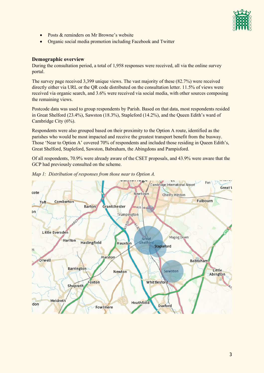

- Posts & reminders on Mr Browne's website
- Organic social media promotion including Facebook and Twitter

#### **Demographic overview**

During the consultation period, a total of 1,958 responses were received, all via the online survey portal.

The survey page received 3,399 unique views. The vast majority of these (82.7%) were received directly either via URL or the QR code distributed on the consultation letter. 11.5% of views were received via organic search, and 3.6% were received via social media, with other sources composing the remaining views.

Postcode data was used to group respondents by Parish. Based on that data, most respondents resided in Great Shelford (23.4%), Sawston (18.3%), Stapleford (14.2%), and the Queen Edith's ward of Cambridge City (6%).

Respondents were also grouped based on their proximity to the Option A route, identified as the parishes who would be most impacted and receive the greatest transport benefit from the busway. Those 'Near to Option A' covered 70% of respondents and included those residing in Queen Edith's, Great Shelford, Stapleford, Sawston, Babraham, the Abingdons and Pampisford.

Of all respondents, 70.9% were already aware of the CSET proposals, and 43.9% were aware that the GCP had previously consulted on the scheme.



*Map 1: Distribution of responses from those near to Option A.*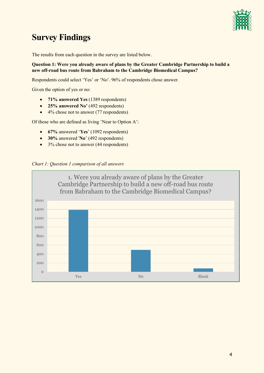

## **Survey Findings**

The results from each question in the survey are listed below.

#### **Question 1: Were you already aware of plans by the Greater Cambridge Partnership to build a new off-road bus route from Babraham to the Cambridge Biomedical Campus?**

Respondents could select 'Yes' or 'No'. 96% of respondents chose to answer.

Given the option of yes or no:

- **71% answered Yes** (1389 respondents)
- **25% answered No'** (492 respondents)
- 4% chose not to answer (77 respondents)

- **67%** answered '**Yes**' (1092 respondents)
- **30%** answered '**No**' (492 respondents)
- 3% chose not to answer (44 respondents)



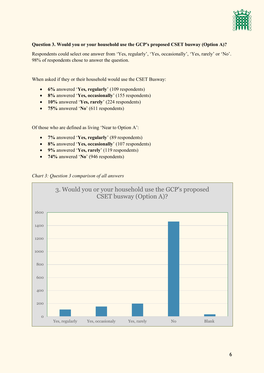

#### **Question 3. Would you or your household use the GCP's proposed CSET busway (Option A)?**

Respondents could select one answer from 'Yes, regularly', 'Yes, occasionally', 'Yes, rarely' or 'No'. 98% of respondents chose to answer the question.

When asked if they or their household would use the CSET Busway:

- x **6%** answered '**Yes, regularly**' (109 respondents)
- x **8%** answered '**Yes, occasionally**' (155 respondents)
- x **10%** answered '**Yes, rarely**' (224 respondents)
- x **75%** answered '**No**' (611 respondents)

- x **7%** answered '**Yes, regularly**' (89 respondents)
- x **8%** answered '**Yes, occasionally**' (107 respondents)
- x **9%** answered '**Yes, rarely**' (119 respondents)
- x **74%** answered '**No**' (946 respondents)



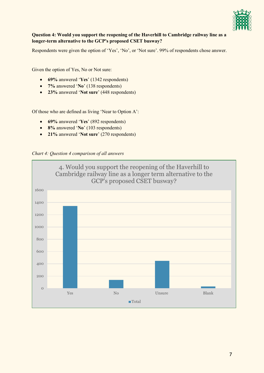

#### **Question 4: Would you support the reopening of the Haverhill to Cambridge railway line as a longer-term alternative to the GCP's proposed CSET busway?**

Respondents were given the option of 'Yes', 'No', or 'Not sure'. 99% of respondents chose to answer.

Given the option of Yes, No or Not sure:

- **69%** answered '**Yes**' (1342 respondents)
- **7%** answered '**No**' (138 respondents)
- **23%** answered '**Not sure**' (448 respondents)

- **69%** answered '**Yes**' (892 respondents)
- **8%** answered '**No**' (103 respondents)
- **21%** answered '**Not sure**' (270 respondents)



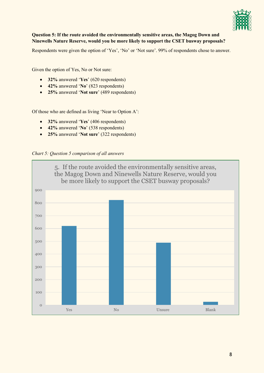

#### **Question 5: If the route avoided the environmentally sensitive areas, the Magog Down and Ninewells Nature Reserve, would you be more likely to support the CSET busway proposals?**

Respondents were given the option of 'Yes', 'No' or 'Not sure'. 99% of respondents chose to answer.

Given the option of Yes, No or Not sure:

- **32%** answered '**Yes**' (620 respondents)
- **42%** answered '**No**' (823 respondents)
- **25%** answered '**Not sure**' (489 respondents)

- **32%** answered '**Yes**' (406 respondents)
- **42%** answered '**No**' (538 respondents)
- **25%** answered '**Not sure**' (322 respondents)



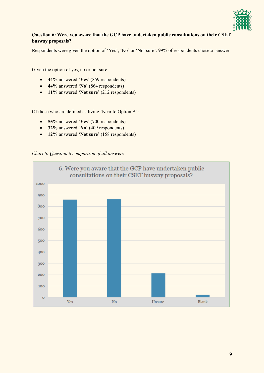

#### **Question 6: Were you aware that the GCP have undertaken public consultations on their CSET busway proposals?**

Respondents were given the option of 'Yes', 'No' or 'Not sure'. 99% of respondents chose to answer.

Given the option of yes, no or not sure:

- **44%** answered '**Yes**' (859 respondents)
- **44%** answered '**No**' (864 respondents)
- **11%** answered '**Not sure**' (212 respondents)

- **55%** answered '**Yes**' (700 respondents)
- **32%** answered '**No**' (409 respondents)
- **12%** answered '**Not sure**' (158 respondents)